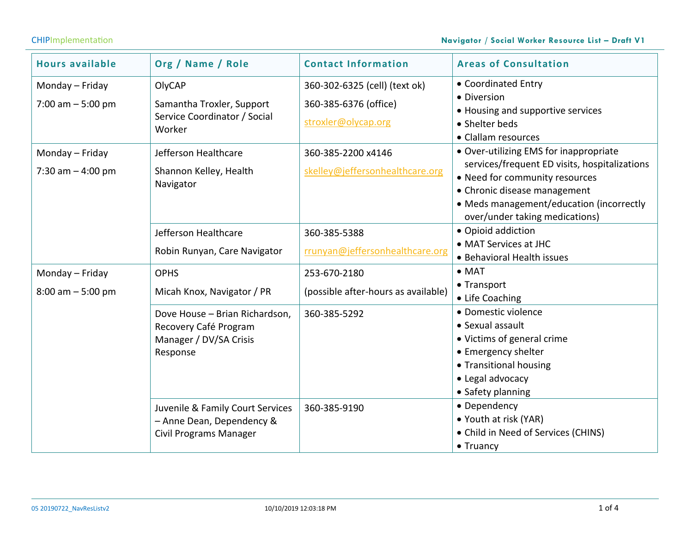# CHIPImplementation **Navigator / Social Worker Resource List – Draft V1**

| <b>Hours available</b>                  | Org / Name / Role                                                                              | <b>Contact Information</b>                                                    | <b>Areas of Consultation</b>                                                                                                                                                                                                            |
|-----------------------------------------|------------------------------------------------------------------------------------------------|-------------------------------------------------------------------------------|-----------------------------------------------------------------------------------------------------------------------------------------------------------------------------------------------------------------------------------------|
| Monday - Friday<br>7:00 am $-5:00$ pm   | OlyCAP<br>Samantha Troxler, Support<br>Service Coordinator / Social<br>Worker                  | 360-302-6325 (cell) (text ok)<br>360-385-6376 (office)<br>stroxler@olycap.org | • Coordinated Entry<br>• Diversion<br>• Housing and supportive services<br>• Shelter beds<br>• Clallam resources                                                                                                                        |
| Monday - Friday<br>7:30 am $-$ 4:00 pm  | Jefferson Healthcare<br>Shannon Kelley, Health<br>Navigator                                    | 360-385-2200 x4146<br>skelley@jeffersonhealthcare.org                         | • Over-utilizing EMS for inappropriate<br>services/frequent ED visits, hospitalizations<br>• Need for community resources<br>• Chronic disease management<br>• Meds management/education (incorrectly<br>over/under taking medications) |
|                                         | Jefferson Healthcare<br>Robin Runyan, Care Navigator                                           | 360-385-5388<br>rrunyan@jeffersonhealthcare.org                               | • Opioid addiction<br>• MAT Services at JHC<br>• Behavioral Health issues                                                                                                                                                               |
| Monday - Friday<br>$8:00$ am $-5:00$ pm | <b>OPHS</b><br>Micah Knox, Navigator / PR                                                      | 253-670-2180<br>(possible after-hours as available)                           | $\bullet$ MAT<br>• Transport<br>• Life Coaching                                                                                                                                                                                         |
|                                         | Dove House - Brian Richardson,<br>Recovery Café Program<br>Manager / DV/SA Crisis<br>Response  | 360-385-5292                                                                  | · Domestic violence<br>• Sexual assault<br>• Victims of general crime<br>• Emergency shelter<br>• Transitional housing<br>• Legal advocacy<br>• Safety planning                                                                         |
|                                         | Juvenile & Family Court Services<br>- Anne Dean, Dependency &<br><b>Civil Programs Manager</b> | 360-385-9190                                                                  | • Dependency<br>• Youth at risk (YAR)<br>• Child in Need of Services (CHINS)<br>$\bullet$ Truancy                                                                                                                                       |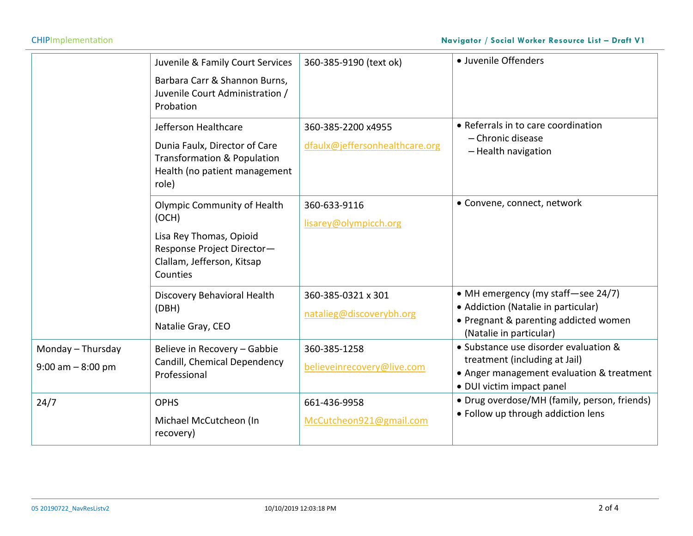$\sim$ 

|                                           | Juvenile & Family Court Services<br>Barbara Carr & Shannon Burns,<br>Juvenile Court Administration /<br>Probation                              | 360-385-9190 (text ok)                               | · Juvenile Offenders                                                                                                                             |
|-------------------------------------------|------------------------------------------------------------------------------------------------------------------------------------------------|------------------------------------------------------|--------------------------------------------------------------------------------------------------------------------------------------------------|
|                                           | Jefferson Healthcare<br>Dunia Faulx, Director of Care<br>Transformation & Population<br>Health (no patient management<br>role)                 | 360-385-2200 x4955<br>dfaulx@jeffersonhealthcare.org | • Referrals in to care coordination<br>- Chronic disease<br>- Health navigation                                                                  |
|                                           | <b>Olympic Community of Health</b><br>(OCH)<br>Lisa Rey Thomas, Opioid<br>Response Project Director-<br>Clallam, Jefferson, Kitsap<br>Counties | 360-633-9116<br>lisarey@olympicch.org                | • Convene, connect, network                                                                                                                      |
|                                           | Discovery Behavioral Health<br>(DBH)<br>Natalie Gray, CEO                                                                                      | 360-385-0321 x 301<br>natalieg@discoverybh.org       | • MH emergency (my staff-see 24/7)<br>• Addiction (Natalie in particular)<br>• Pregnant & parenting addicted women<br>(Natalie in particular)    |
| Monday - Thursday<br>$9:00$ am $-8:00$ pm | Believe in Recovery - Gabbie<br>Candill, Chemical Dependency<br>Professional                                                                   | 360-385-1258<br>believeinrecovery@live.com           | • Substance use disorder evaluation &<br>treatment (including at Jail)<br>• Anger management evaluation & treatment<br>· DUI victim impact panel |
| 24/7                                      | <b>OPHS</b><br>Michael McCutcheon (In<br>recovery)                                                                                             | 661-436-9958<br>McCutcheon921@gmail.com              | • Drug overdose/MH (family, person, friends)<br>• Follow up through addiction lens                                                               |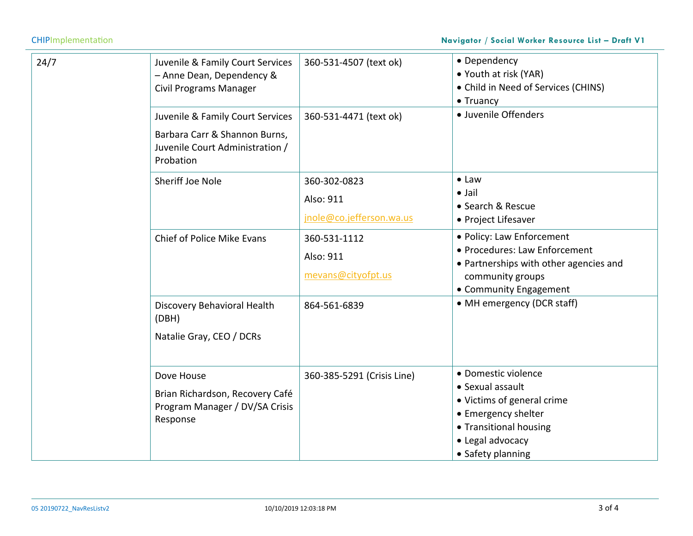# CHIPImplementation **Navigator / Social Worker Resource List – Draft V1**

| 24/7 | Juvenile & Family Court Services<br>- Anne Dean, Dependency &<br><b>Civil Programs Manager</b>                    | 360-531-4507 (text ok)                                | • Dependency<br>• Youth at risk (YAR)<br>• Child in Need of Services (CHINS)<br>• Truancy                                                                       |
|------|-------------------------------------------------------------------------------------------------------------------|-------------------------------------------------------|-----------------------------------------------------------------------------------------------------------------------------------------------------------------|
|      | Juvenile & Family Court Services<br>Barbara Carr & Shannon Burns,<br>Juvenile Court Administration /<br>Probation | 360-531-4471 (text ok)                                | · Juvenile Offenders                                                                                                                                            |
|      | Sheriff Joe Nole                                                                                                  | 360-302-0823<br>Also: 911<br>jnole@co.jefferson.wa.us | $\bullet$ Law<br>$\bullet$ Jail<br>• Search & Rescue<br>• Project Lifesaver                                                                                     |
|      | <b>Chief of Police Mike Evans</b>                                                                                 | 360-531-1112<br>Also: 911<br>mevans@cityofpt.us       | · Policy: Law Enforcement<br>• Procedures: Law Enforcement<br>• Partnerships with other agencies and<br>community groups<br>• Community Engagement              |
|      | Discovery Behavioral Health<br>(DBH)<br>Natalie Gray, CEO / DCRs                                                  | 864-561-6839                                          | • MH emergency (DCR staff)                                                                                                                                      |
|      | Dove House<br>Brian Richardson, Recovery Café<br>Program Manager / DV/SA Crisis<br>Response                       | 360-385-5291 (Crisis Line)                            | • Domestic violence<br>• Sexual assault<br>• Victims of general crime<br>• Emergency shelter<br>• Transitional housing<br>• Legal advocacy<br>• Safety planning |